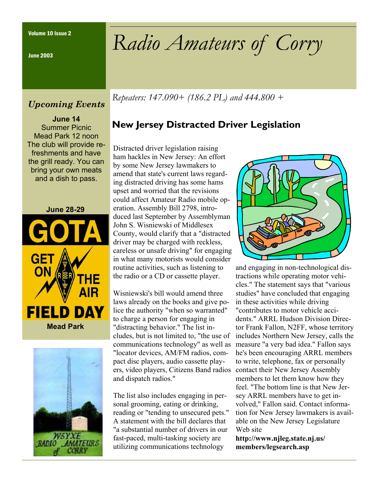June 2003

## *Upcoming Events*

**June 14**  Summer Picnic Mead Park 12 noon The club will provide refreshments and have the grill ready. You can bring your own meats and a dish to pass.





Volume 10 Issue 2 *Radio Amateurs of Corry* 

*Repeaters: 147.090+ (186.2 PL) and 444.800 +* 

## **New Jersey Distracted Driver Legislation**

 Distracted driver legislation raising ham hackles in New Jersey: An effort by some New Jersey lawmakers to amend that state's current laws regarding distracted driving has some hams upset and worried that the revisions could affect Amateur Radio mobile operation. Assembly Bill 2798, introduced last September by Assemblyman John S. Wisniewski of Middlesex County, would clarify that a "distracted driver may be charged with reckless, careless or unsafe driving" for engaging in what many motorists would consider routine activities, such as listening to the radio or a CD or cassette player.

Wisniewski's bill would amend three laws already on the books and give police the authority "when so warranted" to charge a person for engaging in "distracting behavior." The list includes, but is not limited to, "the use of communications technology" as well as "locator devices, AM/FM radios, compact disc players, audio cassette players, video players, Citizens Band radios and dispatch radios."

The list also includes engaging in personal grooming, eating or drinking, reading or "tending to unsecured pets." A statement with the bill declares that "a substantial number of drivers in our fast-paced, multi-tasking society are utilizing communications technology



and engaging in non-technological distractions while operating motor vehicles." The statement says that "various studies" have concluded that engaging in these activities while driving "contributes to motor vehicle accidents." ARRL Hudson Division Director Frank Fallon, N2FF, whose territory includes Northern New Jersey, calls the measure "a very bad idea." Fallon says he's been encouraging ARRL members to write, telephone, fax or personally contact their New Jersey Assembly members to let them know how they feel. "The bottom line is that New Jersey ARRL members have to get involved," Fallon said. Contact information for New Jersey lawmakers is available on the New Jersey Legislature Web site

**http://www.njleg.state.nj.us/ members/legsearch.asp**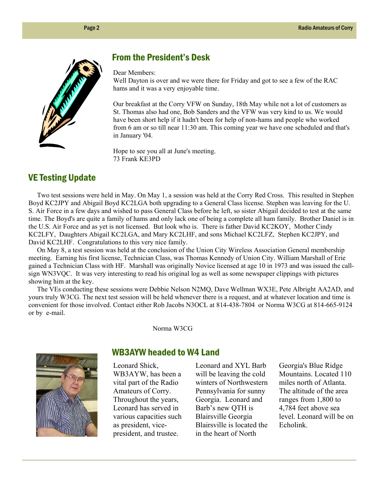

## From the President's Desk

Dear Members:

Well Dayton is over and we were there for Friday and got to see a few of the RAC hams and it was a very enjoyable time.

Our breakfast at the Corry VFW on Sunday, 18th May while not a lot of customers as St. Thomas also had one, Bob Sanders and the VFW was very kind to us. We would have been short help if it hadn't been for help of non-hams and people who worked from 6 am or so till near 11:30 am. This coming year we have one scheduled and that's in January '04.

Hope to see you all at June's meeting. 73 Frank KE3PD

## VE Testing Update

 Two test sessions were held in May. On May 1, a session was held at the Corry Red Cross. This resulted in Stephen Boyd KC2JPY and Abigail Boyd KC2LGA both upgrading to a General Class license. Stephen was leaving for the U. S. Air Force in a few days and wished to pass General Class before he left, so sister Abigail decided to test at the same time. The Boyd's are quite a family of hams and only lack one of being a complete all ham family. Brother Daniel is in the U.S. Air Force and as yet is not licensed. But look who is. There is father David KC2KOY, Mother Cindy KC2LFY, Daughters Abigail KC2LGA, and Mary KC2LHF, and sons Michael KC2LFZ, Stephen KC2JPY, and David KC2LHF. Congratulations to this very nice family.

 On May 8, a test session was held at the conclusion of the Union City Wireless Association General membership meeting. Earning his first license, Technician Class, was Thomas Kennedy of Union City. William Marshall of Erie gained a Technician Class with HF. Marshall was originally Novice licensed at age 10 in 1973 and was issued the callsign WN3VQC. It was very interesting to read his original log as well as some newspaper clippings with pictures showing him at the key.

 The VEs conducting these sessions were Debbie Nelson N2MQ, Dave Wellman WX3E, Pete Albright AA2AD, and yours truly W3CG. The next test session will be held whenever there is a request, and at whatever location and time is convenient for those involved. Contact either Rob Jacobs N3OCL at 814-438-7804 or Norma W3CG at 814-665-9124 or by e-mail.

Norma W3CG



#### WB3AYW headed to W4 Land

Leonard Shick, WB3AYW, has been a vital part of the Radio Amateurs of Corry. Throughout the years, Leonard has served in various capacities such as president, vicepresident, and trustee.

Leonard and XYL Barb will be leaving the cold winters of Northwestern Pennsylvania for sunny Georgia. Leonard and Barb's new QTH is Blairsville Georgia Blairsville is located the in the heart of North

Georgia's Blue Ridge Mountains. Located 110 miles north of Atlanta. The altitude of the area ranges from 1,800 to 4,784 feet above sea level. Leonard will be on Echolink.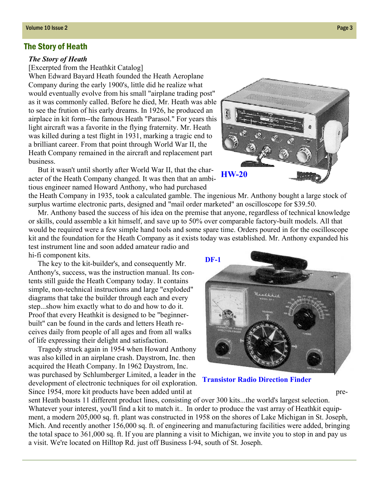#### The Story of Heath

#### *The Story of Heath*

[Excerpted from the Heathkit Catalog]

When Edward Bayard Heath founded the Heath Aeroplane Company during the early 1900's, little did he realize what would eventually evolve from his small "airplane trading post" as it was commonly called. Before he died, Mr. Heath was able to see the frution of his early dreams. In 1926, he produced an airplace in kit form--the famous Heath "Parasol." For years this light aircraft was a favorite in the flying fraternity. Mr. Heath was killed during a test flight in 1931, marking a tragic end to a brilliant career. From that point through World War II, the Heath Company remained in the aircraft and replacement part business.

 But it wasn't until shortly after World War II, that the character of the Heath Company changed. It was then that an ambitious engineer named Howard Anthony, who had purchased

the Heath Company in 1935, took a calculated gamble. The ingenious Mr. Anthony bought a large stock of surplus wartime electronic parts, designed and "mail order marketed" an oscilloscope for \$39.50.

 Mr. Anthony based the success of his idea on the premise that anyone, regardless of technical knowledge or skills, could assemble a kit himself, and save up to 50% over comparable factory-built models. All that would be required were a few simple hand tools and some spare time. Orders poured in for the oscilloscope kit and the foundation for the Heath Company as it exists today was established. Mr. Anthony expanded his test instrument line and soon added amateur radio and hi-fi component kits.

 The key to the kit-builder's, and consequently Mr. Anthony's, success, was the instruction manual. Its contents still guide the Heath Company today. It contains simple, non-technical instructions and large "exploded" diagrams that take the builder through each and every step...show him exactly what to do and how to do it. Proof that every Heathkit is designed to be "beginnerbuilt" can be found in the cards and letters Heath receives daily from people of all ages and from all walks of life expressing their delight and satisfaction.

 Tragedy struck again in 1954 when Howard Anthony was also killed in an airplane crash. Daystrom, Inc. then acquired the Heath Company. In 1962 Daystrom, Inc. was purchased by Schlumberger Limited, a leader in the development of electronic techniques for oil exploration. Since 1954, more kit products have been added until at pre-

sent Heath boasts 11 different product lines, consisting of over 300 kits...the world's largest selection. Whatever your interest, you'll find a kit to match it.. In order to produce the vast array of Heathkit equipment, a modern 205,000 sq. ft. plant was constructed in 1958 on the shores of Lake Michigan in St. Joseph, Mich. And recently another 156,000 sq. ft. of engineering and manufacturing facilities were added, bringing the total space to 361,000 sq. ft. If you are planning a visit to Michigan, we invite you to stop in and pay us a visit. We're located on Hilltop Rd. just off Business I-94, south of St. Joseph.





**Transistor Radio Direction Finder**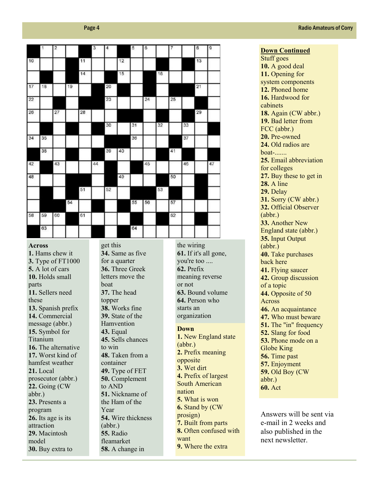|    | $\ddot{\phantom{1}}$ | $\overline{\mathbf{2}}$ |    |    | 3  | $\overline{4}$ |    | 5  | 6  |    |    |    | 8  | g  |
|----|----------------------|-------------------------|----|----|----|----------------|----|----|----|----|----|----|----|----|
| 10 |                      |                         |    | 11 |    |                | 12 |    |    |    |    |    | 13 |    |
|    |                      |                         |    | 14 |    |                | 15 |    |    | 16 |    |    |    |    |
| 17 | 18                   |                         | 19 |    |    | 20             |    |    |    |    |    |    | 21 |    |
| 22 |                      |                         |    |    |    | 23             |    |    | 24 |    | 25 |    |    |    |
| 26 |                      | 27                      |    | 28 |    |                |    |    |    |    |    |    | 29 |    |
|    |                      |                         |    |    |    | 30             |    | 31 |    | 32 |    | 33 |    |    |
| 34 | 35                   |                         |    |    |    |                |    | 36 |    |    |    | 37 |    |    |
|    | 38                   |                         |    |    |    | 39             | 40 |    |    |    | 41 |    |    |    |
| 42 |                      | 43                      |    |    | 44 |                |    |    | 45 |    |    | 46 |    | 47 |
| 48 |                      |                         |    |    |    |                | 49 |    |    |    | 50 |    |    |    |
|    |                      |                         |    | 51 |    | 52             |    |    |    | 53 |    |    |    |    |
|    |                      |                         | 54 |    |    |                |    | 55 | 56 |    | 57 |    |    |    |
| 58 | 59                   | 60                      |    | 61 |    |                |    |    |    |    | 62 |    |    |    |
|    | 63                   |                         |    |    |    |                |    | 64 |    |    |    |    |    |    |

#### **Across**

**1.** Hams chew it **3.** Type of FT1000 **5.** A lot of cars **10.** Holds small parts **11.** Sellers need these **13.** Spanish prefix **14.** Commercial message (abbr.) **15.** Symbol for Titanium **16.** The alternative **17.** Worst kind of hamfest weather **21.** Local prosecutor (abbr.) **22.** Going (CW abbr.) **23.** Presents a program **26.** Its age is its attraction **29.** Macintosh model **30.** Buy extra to

get this **34.** Same as five for a quarter **36.** Three Greek letters move the boat **37.** The head topper **38.** Works fine **39.** State of the Hamvention **43.** Equal **45.** Sells chances to win **48.** Taken from a container **49.** Type of FET **50.** Complement to AND **51.** Nickname of the Ham of the Year **54.** Wire thickness (abbr.) **55.** Radio fleamarket **58.** A change in

the wiring **61.** If it's all gone, you're too .... **62.** Prefix meaning reverse or not **63.** Bound volume **64.** Person who starts an organization

#### **Down**

**1.** New England state (abbr.) **2.** Prefix meaning opposite **3.** Wet dirt **4.** Prefix of largest South American nation **5.** What is won **6.** Stand by (CW prosign) **7.** Built from parts **8.** Often confused with want **9.** Where the extra

**Down Continued** Stuff goes **10.** A good deal **11.** Opening for system components **12.** Phoned home 16. Hardwood for cabinets **18.** Again (CW abbr.) **19.** Bad letter from FCC (abbr.) **20.** Pre-owned **24.** Old radios are boat-**25.** Email abbreviation for colleges **27.** Buy these to get in **28.** A line **29.** Delay **31.** Sorry (CW abbr.) **32.** Official Observer (abbr.) **33.** Another New England state (abbr.) **35.** Input Output (abbr.) **40.** Take purchases back here **41.** Flying saucer **42.** Group discussion of a topic **44.** Opposite of 50 Across **46.** An acquaintance **47.** Who must beware **51.** The "in" frequency **52.** Slang for food **53.** Phone mode on a Globe King **56.** Time past **57.** Enjoyment **59.** Old Boy (CW abbr.) **60.** Act

Answers will be sent via e-mail in 2 weeks and also published in the next newsletter.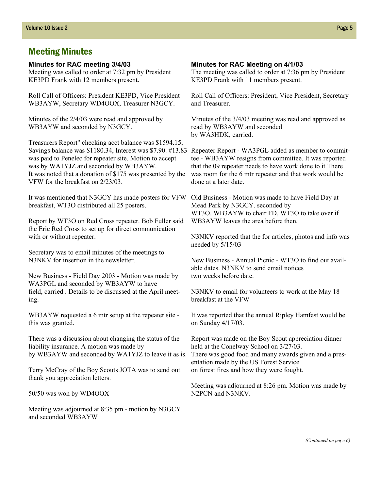## Meeting Minutes

#### **Minutes for RAC meeting 3/4/03**

Meeting was called to order at 7:32 pm by President KE3PD Frank with 12 members present.

Roll Call of Officers: President KE3PD, Vice President WB3AYW, Secretary WD4OOX, Treasurer N3GCY.

Minutes of the 2/4/03 were read and approved by WB3AYW and seconded by N3GCY.

Treasurers Report" checking acct balance was \$1594.15, Savings balance was \$1180.34, Interest was \$7.90. #13.83 was paid to Penelec for repeater site. Motion to accept was by WA1YJZ and seconded by WB3AYW. It was noted that a donation of \$175 was presented by the VFW for the breakfast on 2/23/03.

It was mentioned that N3GCY has made posters for VFW breakfast, WT3O distributed all 25 posters.

Report by WT3O on Red Cross repeater. Bob Fuller said the Erie Red Cross to set up for direct communication with or without repeater.

Secretary was to email minutes of the meetings to N3NKV for insertion in the newsletter.

New Business - Field Day 2003 - Motion was made by WA3PGL and seconded by WB3AYW to have field, carried . Details to be discussed at the April meeting.

WB3AYW requested a 6 mtr setup at the repeater site this was granted.

There was a discussion about changing the status of the liability insurance. A motion was made by by WB3AYW and seconded by WA1YJZ to leave it as is.

Terry McCray of the Boy Scouts JOTA was to send out thank you appreciation letters.

50/50 was won by WD4OOX

Meeting was adjourned at 8:35 pm - motion by N3GCY and seconded WB3AYW

#### **Minutes for RAC Meeting on 4/1/03**

The meeting was called to order at 7:36 pm by President KE3PD Frank with 11 members present.

Roll Call of Officers: President, Vice President, Secretary and Treasurer.

Minutes of the 3/4/03 meeting was read and approved as read by WB3AYW and seconded by WA3HDK, carried.

Repeater Report - WA3PGL added as member to committee - WB3AYW resigns from committee. It was reported that the 09 repeater needs to have work done to it There was room for the 6 mtr repeater and that work would be done at a later date.

Old Business - Motion was made to have Field Day at Mead Park by N3GCY. seconded by WT3O. WB3AYW to chair FD, WT3O to take over if WB3AYW leaves the area before then.

N3NKV reported that the for articles, photos and info was needed by 5/15/03

New Business - Annual Picnic - WT3O to find out available dates. N3NKV to send email notices two weeks before date.

N3NKV to email for volunteers to work at the May 18 breakfast at the VFW

It was reported that the annual Ripley Hamfest would be on Sunday 4/17/03.

Report was made on the Boy Scout appreciation dinner held at the Conelway School on 3/27/03. There was good food and many awards given and a presentation made by the US Forest Service on forest fires and how they were fought.

Meeting was adjourned at 8:26 pm. Motion was made by N2PCN and N3NKV.

*(Continued on page 6)*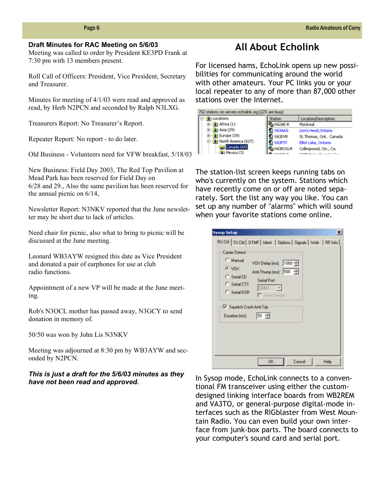#### **Draft Minutes for RAC Meeting on 5/6/03**

Meeting was called to order by President KE3PD Frank at 7:30 pm with 13 members present.

Roll Call of Officers: President, Vice President, Secretary and Treasurer.

Minutes for meeting of 4/1/03 were read and approved as read, by Herb N2PCN and seconded by Ralph N3LXG.

Treasurers Report: No Treasurer's Report.

Repeater Report: No report - to do later.

Old Business - Volunteers need for VFW breakfast, 5/18/03

New Business: Field Day 2003, The Red Top Pavilion at Mead Park has been reserved for Field Day on 6/28 and 29., Also the same pavilion has been reserved for the annual picnic on 6/14,

Newsletter Report: N3NKV reported that the June newsletter may be short due to lack of articles.

Need chair for picnic, also what to bring to picnic will be discussed at the June meeting.

Leonard WB3AYW resigned this date as Vice President and donated a pair of earphones for use at club radio functions.

Appointment of a new VP will be made at the June meeting.

Rob's N3OCL mother has passed away, N3GCY to send donation in memory of.

50/50 was won by John Lis N3NKV

Meeting was adjourned at 8:30 pm by WB3AYW and seconded by N2PCN.

#### *This is just a draft for the 5/6/03 minutes as they have not been read and approved.*

## **All About Echolink**

For licensed hams, EchoLink opens up new possibilities for communicating around the world with other amateurs. Your PC links you or your local repeater to any of more than 87,000 other stations over the Internet.

| 762 stations on servers.echolink.org (22% are busy) |               |                         |  |  |
|-----------------------------------------------------|---------------|-------------------------|--|--|
| Locations                                           | Station       | Location/Description    |  |  |
| (b) Africa (1)                                      | VA2AE-R       | Montreal                |  |  |
| $\Theta$ ] Asia (29)                                | <b>VA3AAG</b> | Lion's Head, Ontario    |  |  |
| $\bullet$ Europe (39)                               | VA3DVR        | St. Thomas, Ont. Canada |  |  |
| North America (627)                                 | <b>VA3FST</b> | Elliot Lake, Ontario    |  |  |
| Canada (64)                                         | VA3ROG-R      | Collingwood, On., Ca.   |  |  |
| Ci Mexico (3)                                       |               | りつ ウェル・コ アー・・・トー グーー    |  |  |

The station-list screen keeps running tabs on who's currently on the system. Stations which have recently come on or off are noted separately. Sort the list any way you like. You can set up any number of "alarms" which will sound when your favorite stations come online.

| $G$ VOX<br>C Serial CD<br>C Serial CTS<br>C Serial DSR | VOX Delay (ms): 1000<br>Anti-Thump (ms): 500<br>Serial Port:<br>COM1<br>□ Invert Sense |
|--------------------------------------------------------|----------------------------------------------------------------------------------------|
| Squelch Crash Anti-Trip<br>Duration [ms]:              | $50 -$                                                                                 |

In Sysop mode, EchoLink connects to a conventional FM transceiver using either the customdesigned linking interface boards from WB2REM and VA3TO, or general-purpose digital-mode interfaces such as the RIGblaster from West Mountain Radio. You can even build your own interface from junk-box parts. The board connects to your computer's sound card and serial port.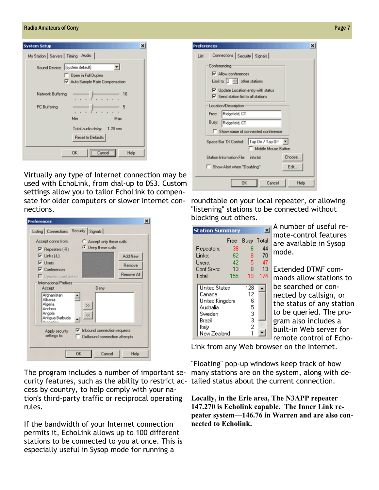#### Radio Amateurs of Corry **Page 7** No. 2008 19:30 Amateurs of Corry Page 7 No. 2008 19:30 Amateurs of Corry Page 7

| <b>System Setup</b>                 | ×                                                    |  |  |  |  |  |  |
|-------------------------------------|------------------------------------------------------|--|--|--|--|--|--|
| My Station   Servers   Timing Audio |                                                      |  |  |  |  |  |  |
| Sound Device: [system default]      |                                                      |  |  |  |  |  |  |
|                                     | Open in Full Duplex<br>Auto Sample Rate Compensation |  |  |  |  |  |  |
| Network Buffering                   | 10                                                   |  |  |  |  |  |  |
| PC Buffering                        | 5                                                    |  |  |  |  |  |  |
|                                     | Min<br>Max                                           |  |  |  |  |  |  |
|                                     | Total audio delay: 1.20 sec<br>Reset to Defaults     |  |  |  |  |  |  |
|                                     | <b>OK</b><br>Cancel<br>Help                          |  |  |  |  |  |  |

Virtually any type of Internet connection may be used with EchoLink, from dial-up to DS3. Custom settings allow you to tailor EchoLink to compensate for older computers or slower Internet connections.

| <b>Preferences</b>                                                                                                                |                                                                                           |  |
|-----------------------------------------------------------------------------------------------------------------------------------|-------------------------------------------------------------------------------------------|--|
| Listing   Connections Security   Signals                                                                                          |                                                                                           |  |
| Accept conns from:<br>$\nabla$ Repeaters (-R)<br>$\nabla$ Links [-L]<br>V Users<br>$\nabla$ Conferences<br>Dynamic conf detect    | Accept only these calls:<br><b>C</b> Deny these calls:<br>Add New<br>Remove<br>Remove All |  |
| <b>International Prefixes</b><br>Accept<br>Afghanistan<br>Albania<br>Algeria<br>Andorra<br>Angola<br>Antigua-Barbuda<br>Annouline | Deny<br>><br>$\ll$                                                                        |  |
| Apply security<br>settings to:                                                                                                    | $\triangledown$ Inbound connection requests<br>Outbound connection attempts               |  |
|                                                                                                                                   | <b>OK</b><br>Cancel<br>Help                                                               |  |

The program includes a number of important security features, such as the ability to restrict ac-tailed status about the current connection. cess by country, to help comply with your nation's third-party traffic or reciprocal operating rules.

If the bandwidth of your Internet connection permits it, EchoLink allows up to 100 different stations to be connected to you at once. This is especially useful in Sysop mode for running a

| List                                                                                                | Connections Security Signals                 |  |  |  |  |  |  |                                            |
|-----------------------------------------------------------------------------------------------------|----------------------------------------------|--|--|--|--|--|--|--------------------------------------------|
|                                                                                                     | Conferencing                                 |  |  |  |  |  |  |                                            |
| V Allow conferences<br>Limit to $2 \Rightarrow$ other stations<br>Update Location entry with status |                                              |  |  |  |  |  |  |                                            |
|                                                                                                     |                                              |  |  |  |  |  |  | $\nabla$ Send station list to all stations |
|                                                                                                     |                                              |  |  |  |  |  |  | Location/Description                       |
|                                                                                                     | Free: Ridgefield, CT                         |  |  |  |  |  |  |                                            |
| Ridgefield, CT<br>Busy:                                                                             |                                              |  |  |  |  |  |  |                                            |
|                                                                                                     | Show name of connected conference            |  |  |  |  |  |  |                                            |
|                                                                                                     | Space Bar TX Control:   Tap On / Tap Off   v |  |  |  |  |  |  |                                            |
|                                                                                                     | Middle Mouse Button                          |  |  |  |  |  |  |                                            |
|                                                                                                     | Choose.<br>Station Information File: info.bt |  |  |  |  |  |  |                                            |
|                                                                                                     | Show Alert when "Doubling"<br>Edit           |  |  |  |  |  |  |                                            |
|                                                                                                     |                                              |  |  |  |  |  |  |                                            |
|                                                                                                     |                                              |  |  |  |  |  |  |                                            |

roundtable on your local repeater, or allowing "listening" stations to be connected without blocking out others.

| <b>Station Summary</b>                                                                                    |      |                                    |     |
|-----------------------------------------------------------------------------------------------------------|------|------------------------------------|-----|
|                                                                                                           | Free | Busy Total                         |     |
| Repeaters:                                                                                                | 38   | R                                  | 44  |
| Links:                                                                                                    | 62   | 8                                  | 70  |
| Users:                                                                                                    | 42   | 5                                  | 47  |
| Conf Srvrs:                                                                                               | 13   | n                                  | 13  |
| Total:                                                                                                    | 155  | 19                                 | 174 |
| <b>United States</b><br>Canada<br>United Kingdom<br>Australia<br>Sweden<br>Brazil<br>Italy<br>New Zealand |      | 128<br>12<br>6<br>5<br>3<br>3<br>2 |     |

A number of useful remote-control features are available in Sysop mode.

Extended DTMF commands allow stations to be searched or connected by callsign, or the status of any station to be queried. The program also includes a built-in Web server for remote control of Echo-

Link from any Web browser on the Internet.

"Floating" pop-up windows keep track of how many stations are on the system, along with de-

**Locally, in the Erie area, The N3APP repeater 147.270 is Echolink capable. The Inner Link repeater system—146.76 in Warren and are also connected to Echolink.**